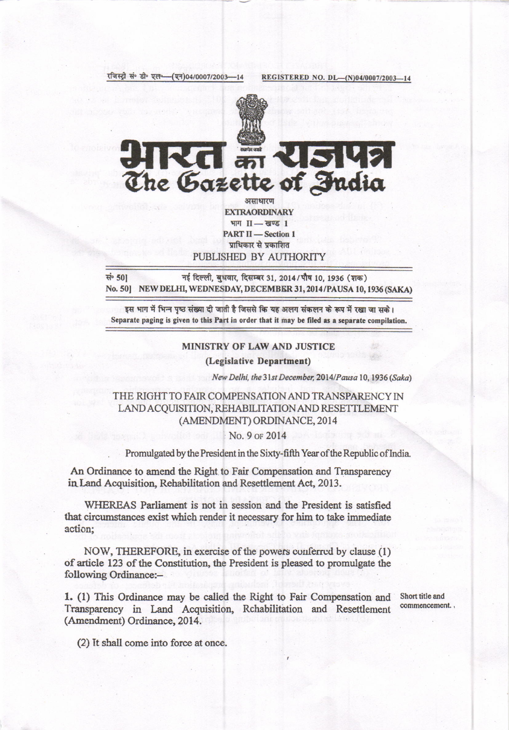

**EXTRAORDINARY** भाग II-खण्ड 1 **PART II - Section 1** प्राधिकार से प्रकाशित PUBLISHED BY AUTHORITY

सं 50] नई दिल्ली, बुधवार, दिसम्बर 31, 2014/पौष 10, 1936 (शक) No. 50] NEW DELHI, WEDNESDAY, DECEMBER 31, 2014/PAUSA 10, 1936 (SAKA)

इस भाग में भिन्न पृष्ठ संख्या दी जाती है जिससे कि यह अलग संकलन के रूप में रखा जा सके। Separate paging is given to this Part in order that it may be filed as a separate compilation.

## **MINISTRY OF LAW AND JUSTICE**

(Legislative Department)

New Delhi, the 31st December, 2014/Pausa 10, 1936 (Saka)

THE RIGHT TO FAIR COMPENSATION AND TRANSPARENCY IN LAND ACQUISITION, REHABILITATION AND RESETTLEMENT (AMENDMENT) ORDINANCE, 2014

## No. 9 or 2014

Promulgated by the President in the Sixty-fifth Year of the Republic of India.

An Ordinance to amend the Right to Fair Compensation and Transparency in Land Acquisition, Rehabilitation and Resettlement Act, 2013.

WHEREAS Parliament is not in session and the President is satisfied that circumstances exist which render it necessary for him to take immediate action;

NOW, THEREFORE, in exercise of the powers conferred by clause (1) of article 123 of the Constitution, the President is pleased to promulgate the following Ordinance:-

1. (1) This Ordinance may be called the Right to Fair Compensation and Transparency in Land Acquisition, Rchabilitation and Resettlement (Amendment) Ordinance, 2014.

Short title and commencement.

(2) It shall come into force at once.